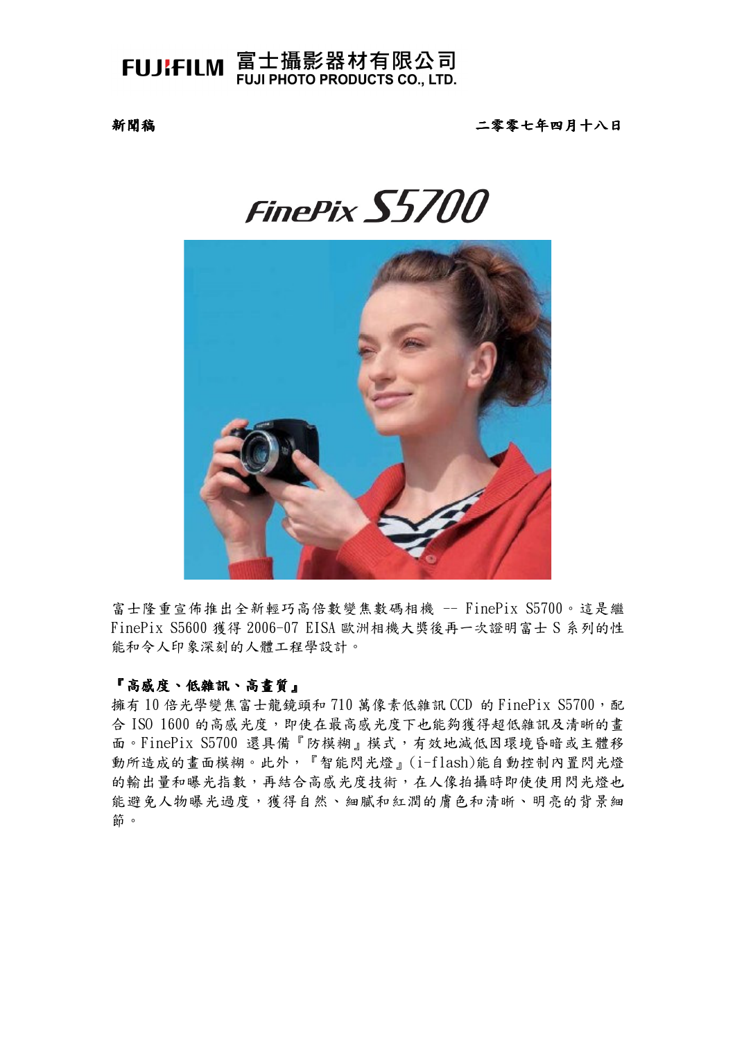FUJIFILM 富士攝影器材有限公司 **FUJI PHOTO PRODUCTS CO., LTD.** 

新聞稿

二零零七年四月十八日

# FinePix S5700



富士隆重宣佈推出全新輕巧高倍數變焦數碼相機 -- FinePix S5700。這是繼 FinePix S5600 獲得 2006-07 EISA 歐洲相機大獎後再一次證明富士 S 系列的性 能和令人印象深刻的人體工程學設計。

## 『高感度、低雜訊、高畫質』

擁有10倍光學變焦富士龍鏡頭和710萬像素低雜訊CCD 的 FinePix S5700, 配 合 ISO 1600 的高感光度,即使在最高感光度下也能夠獲得超低雜訊及清晰的書 面。FinePix S5700 還具備『防模糊』模式,有效地減低因環境昏暗或主體移 動所造成的畫面模糊。此外,『智能閃光燈』(i-flash)能自動控制內置閃光燈 的輸出量和曝光指數,再結合高感光度技術,在人像拍攝時即使使用閃光燈也 能避免人物曝光過度,獲得自然、細膩和紅潤的膚色和清晰、明亮的背景細 節。